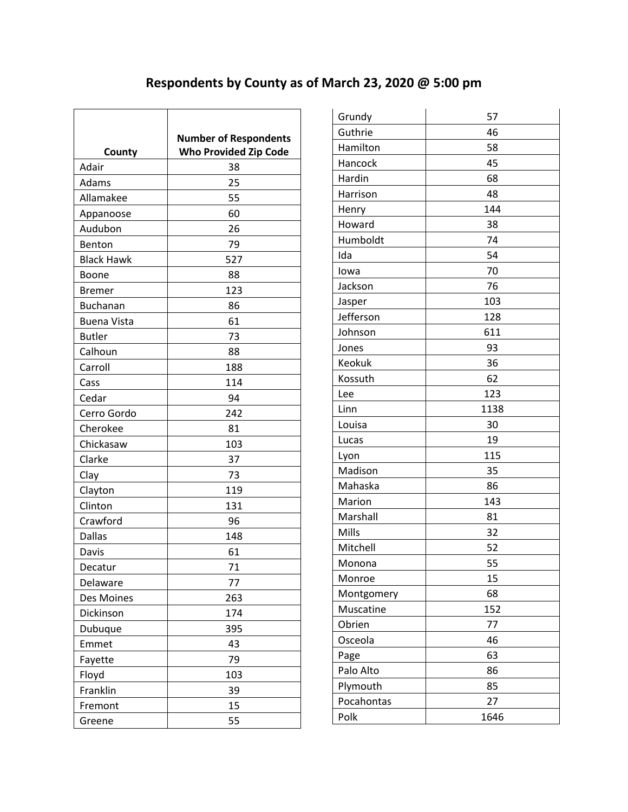## **Respondents by County as of March 23, 2020 @ 5:00 pm**

|                    | <b>Number of Respondents</b> |
|--------------------|------------------------------|
| County             | <b>Who Provided Zip Code</b> |
| Adair              | 38                           |
| Adams              | 25                           |
| Allamakee          | 55                           |
| Appanoose          | 60                           |
| Audubon            | 26                           |
| Benton             | 79                           |
| <b>Black Hawk</b>  | 527                          |
| Boone              | 88                           |
| <b>Bremer</b>      | 123                          |
| <b>Buchanan</b>    | 86                           |
| <b>Buena Vista</b> | 61                           |
| <b>Butler</b>      | 73                           |
| Calhoun            | 88                           |
| Carroll            | 188                          |
| Cass               | 114                          |
| Cedar              | 94                           |
| Cerro Gordo        | 242                          |
| Cherokee           | 81                           |
| Chickasaw          | 103                          |
| Clarke             | 37                           |
| Clay               | 73                           |
| Clayton            | 119                          |
| Clinton            | 131                          |
| Crawford           | 96                           |
| <b>Dallas</b>      | 148                          |
| Davis              | 61                           |
| Decatur            | 71                           |
| Delaware           | 77                           |
| Des Moines         | 263                          |
| Dickinson          | 174                          |
| Dubuque            | 395                          |
| Emmet              | 43                           |
| Fayette            | 79                           |
| Floyd              | 103                          |
| Franklin           | 39                           |
| Fremont            | 15                           |
| Greene             | 55                           |

| Grundy     | 57   |
|------------|------|
| Guthrie    | 46   |
| Hamilton   | 58   |
| Hancock    | 45   |
| Hardin     | 68   |
| Harrison   | 48   |
| Henry      | 144  |
| Howard     | 38   |
| Humboldt   | 74   |
| Ida        | 54   |
| lowa       | 70   |
| Jackson    | 76   |
| Jasper     | 103  |
| Jefferson  | 128  |
| Johnson    | 611  |
| Jones      | 93   |
| Keokuk     | 36   |
| Kossuth    | 62   |
| Lee        | 123  |
| Linn       | 1138 |
| Louisa     | 30   |
| Lucas      | 19   |
| Lyon       | 115  |
| Madison    | 35   |
| Mahaska    | 86   |
| Marion     | 143  |
| Marshall   | 81   |
| Mills      | 32   |
| Mitchell   | 52   |
| Monona     | 55   |
| Monroe     | 15   |
| Montgomery | 68   |
| Muscatine  | 152  |
| Obrien     | 77   |
| Osceola    | 46   |
| Page       | 63   |
| Palo Alto  | 86   |
| Plymouth   | 85   |
| Pocahontas | 27   |
| Polk       | 1646 |